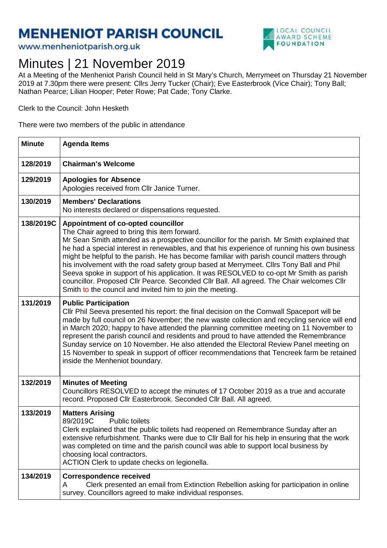## **MENHENIOT PARISH COUNCIL**



www.menheniotparish.org.uk

## Minutes | 21 November 2019

At a Meeting of the Menheniot Parish Council held in St Mary's Church, Merrymeet on Thursday 21 November 2019 at 7.30pm there were present: Cllrs Jerry Tucker (Chair); Eve Easterbrook (Vice Chair); Tony Ball; Nathan Pearce; Lilian Hooper; Peter Rowe; Pat Cade; Tony Clarke.

Clerk to the Council: John Hesketh

There were two members of the public in attendance

| <b>Minute</b> | <b>Agenda Items</b>                                                                                                                                                                                                                                                                                                                                                                                                                                                                                                                                                                                                                                                                                                            |  |
|---------------|--------------------------------------------------------------------------------------------------------------------------------------------------------------------------------------------------------------------------------------------------------------------------------------------------------------------------------------------------------------------------------------------------------------------------------------------------------------------------------------------------------------------------------------------------------------------------------------------------------------------------------------------------------------------------------------------------------------------------------|--|
| 128/2019      | <b>Chairman's Welcome</b>                                                                                                                                                                                                                                                                                                                                                                                                                                                                                                                                                                                                                                                                                                      |  |
| 129/2019      | <b>Apologies for Absence</b><br>Apologies received from Cllr Janice Turner.                                                                                                                                                                                                                                                                                                                                                                                                                                                                                                                                                                                                                                                    |  |
| 130/2019      | <b>Members' Declarations</b><br>No interests declared or dispensations requested.                                                                                                                                                                                                                                                                                                                                                                                                                                                                                                                                                                                                                                              |  |
| 138/2019C     | Appointment of co-opted councillor<br>The Chair agreed to bring this item forward.<br>Mr Sean Smith attended as a prospective councillor for the parish. Mr Smith explained that<br>he had a special interest in renewables, and that his experience of running his own business<br>might be helpful to the parish. He has become familiar with parish council matters through<br>his involvement with the road safety group based at Merrymeet. Cllrs Tony Ball and Phil<br>Seeva spoke in support of his application. It was RESOLVED to co-opt Mr Smith as parish<br>councillor. Proposed Cllr Pearce. Seconded Cllr Ball. All agreed. The Chair welcomes Cllr<br>Smith to the council and invited him to join the meeting. |  |
| 131/2019      | <b>Public Participation</b><br>CIIr Phil Seeva presented his report: the final decision on the Cornwall Spaceport will be<br>made by full council on 26 November; the new waste collection and recycling service will end<br>in March 2020; happy to have attended the planning committee meeting on 11 November to<br>represent the parish council and residents and proud to have attended the Remembrance<br>Sunday service on 10 November. He also attended the Electoral Review Panel meeting on<br>15 November to speak in support of officer recommendations that Tencreek farm be retained<br>inside the Menheniot boundary.                                                                                           |  |
| 132/2019      | <b>Minutes of Meeting</b><br>Councillors RESOLVED to accept the minutes of 17 October 2019 as a true and accurate<br>record. Proposed Cllr Easterbrook. Seconded Cllr Ball. All agreed.                                                                                                                                                                                                                                                                                                                                                                                                                                                                                                                                        |  |
| 133/2019      | <b>Matters Arising</b><br>89/2019C<br><b>Public toilets</b><br>Clerk explained that the public toilets had reopened on Remembrance Sunday after an<br>extensive refurbishment. Thanks were due to CIIr Ball for his help in ensuring that the work<br>was completed on time and the parish council was able to support local business by<br>choosing local contractors.<br>ACTION Clerk to update checks on legionella.                                                                                                                                                                                                                                                                                                        |  |
| 134/2019      | <b>Correspondence received</b><br>Clerk presented an email from Extinction Rebellion asking for participation in online<br>A<br>survey. Councillors agreed to make individual responses.                                                                                                                                                                                                                                                                                                                                                                                                                                                                                                                                       |  |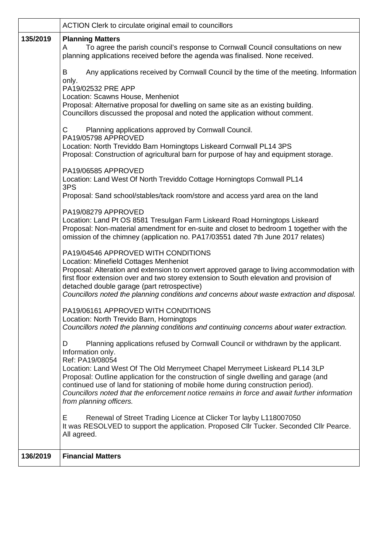|          | ACTION Clerk to circulate original email to councillors                                                                                                                                                                                                                                                                                                                                                              |
|----------|----------------------------------------------------------------------------------------------------------------------------------------------------------------------------------------------------------------------------------------------------------------------------------------------------------------------------------------------------------------------------------------------------------------------|
| 135/2019 | <b>Planning Matters</b><br>To agree the parish council's response to Cornwall Council consultations on new<br>A<br>planning applications received before the agenda was finalised. None received.                                                                                                                                                                                                                    |
|          | Any applications received by Cornwall Council by the time of the meeting. Information<br>B<br>only.<br>PA19/02532 PRE APP<br>Location: Scawns House, Menheniot                                                                                                                                                                                                                                                       |
|          | Proposal: Alternative proposal for dwelling on same site as an existing building.<br>Councillors discussed the proposal and noted the application without comment.                                                                                                                                                                                                                                                   |
|          | C<br>Planning applications approved by Cornwall Council.<br>PA19/05798 APPROVED<br>Location: North Treviddo Barn Horningtops Liskeard Cornwall PL14 3PS                                                                                                                                                                                                                                                              |
|          | Proposal: Construction of agricultural barn for purpose of hay and equipment storage.                                                                                                                                                                                                                                                                                                                                |
|          | PA19/06585 APPROVED<br>Location: Land West Of North Treviddo Cottage Horningtops Cornwall PL14<br>3PS                                                                                                                                                                                                                                                                                                                |
|          | Proposal: Sand school/stables/tack room/store and access yard area on the land                                                                                                                                                                                                                                                                                                                                       |
|          | PA19/08279 APPROVED<br>Location: Land Pt OS 8581 Tresulgan Farm Liskeard Road Horningtops Liskeard<br>Proposal: Non-material amendment for en-suite and closet to bedroom 1 together with the<br>omission of the chimney (application no. PA17/03551 dated 7th June 2017 relates)                                                                                                                                    |
|          | PA19/04546 APPROVED WITH CONDITIONS<br>Location: Minefield Cottages Menheniot<br>Proposal: Alteration and extension to convert approved garage to living accommodation with<br>first floor extension over and two storey extension to South elevation and provision of<br>detached double garage (part retrospective)<br>Councillors noted the planning conditions and concerns about waste extraction and disposal. |
|          | PA19/06161 APPROVED WITH CONDITIONS<br>Location: North Trevido Barn, Horningtops<br>Councillors noted the planning conditions and continuing concerns about water extraction.                                                                                                                                                                                                                                        |
|          | Planning applications refused by Cornwall Council or withdrawn by the applicant.<br>D<br>Information only.<br>Ref: PA19/08054<br>Location: Land West Of The Old Merrymeet Chapel Merrymeet Liskeard PL14 3LP                                                                                                                                                                                                         |
|          | Proposal: Outline application for the construction of single dwelling and garage (and<br>continued use of land for stationing of mobile home during construction period).<br>Councillors noted that the enforcement notice remains in force and await further information<br>from planning officers.                                                                                                                 |
|          | E<br>Renewal of Street Trading Licence at Clicker Tor layby L118007050<br>It was RESOLVED to support the application. Proposed Cllr Tucker. Seconded Cllr Pearce.<br>All agreed.                                                                                                                                                                                                                                     |
| 136/2019 | <b>Financial Matters</b>                                                                                                                                                                                                                                                                                                                                                                                             |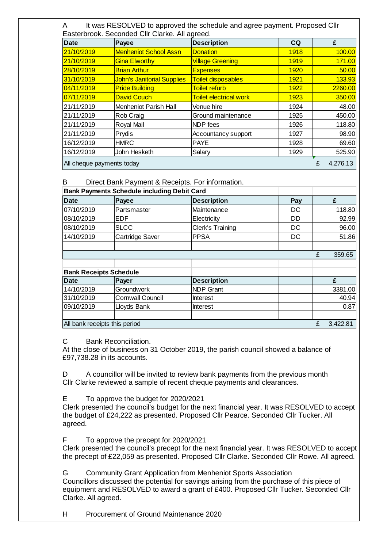A It was RESOLVED to approved the schedule and agree payment. Proposed Cllr Easterbrook. Seconded Cllr Clarke. All agreed. **Date** Payee Description CQ E 21/10/2019 Menheniot School Assn Donation 1918 1918 100.00 21/10/2019 Gina Elworthy Village Greening 1919 171.00 28/10/2019 Brian Arthur **Expenses 1920** 1920 50.00 31/10/2019 **John's Janitorial Supplies | Toilet disposables** 1921 | 1921 | 133.93 04/11/2019 Pride Building Toilet refurb 1922 | 2260.00 07/11/2019 David Couch Toilet electrical work 1923 350.00 21/11/2019 Menheniot Parish Hall Venue hire 1924 1924 48.00 21/11/2019 | Rob Craig | Ground maintenance | 1925 | 450.00 21/11/2019 Royal Mail NDP fees 1926 118.80 21/11/2019 **Prydis** Accountancy support 1927 98.90 16/12/2019 HMRC PAYE 1928 69.60 16/12/2019 **John Hesketh** Salary 1929 525.90 All cheque payments today **Equation 1.1** All cheque payments today **Equation 1.1** All cheque payments today **Equation** 1.1 All cheque  $\epsilon$  and  $\epsilon$  4.276.13

B Direct Bank Payment & Receipts. For information.

|                               | <b>Bank Payments Schedule including Debit Card</b> |                         |     |   |          |
|-------------------------------|----------------------------------------------------|-------------------------|-----|---|----------|
| <b>Date</b>                   | Payee                                              | <b>Description</b>      | Pay |   | £        |
| 07/10/2019                    | Partsmaster                                        | Maintenance             | DC  |   | 118.80   |
| 08/10/2019                    | EDF                                                | Electricity             | DD  |   | 92.99    |
| 08/10/2019                    | <b>SLCC</b>                                        | <b>Clerk's Training</b> | DC  |   | 96.00    |
| 14/10/2019                    | <b>Cartridge Saver</b>                             | <b>PPSA</b>             | DC  |   | 51.86    |
|                               |                                                    |                         |     |   |          |
|                               |                                                    |                         |     | £ | 359.65   |
|                               |                                                    |                         |     |   |          |
| <b>Bank Receipts Schedule</b> |                                                    |                         |     |   |          |
| <b>Date</b>                   | Payer                                              | <b>Description</b>      |     |   | £        |
| 14/10/2019                    | Groundwork                                         | <b>NDP Grant</b>        |     |   | 3381.00  |
| 31/10/2019                    | <b>Cornwall Council</b>                            | <b>Interest</b>         |     |   | 40.94    |
| 09/10/2019                    | Lloyds Bank                                        | <b>Interest</b>         |     |   | 0.87     |
|                               |                                                    |                         |     |   |          |
| All bank receipts this period |                                                    |                         |     | £ | 3,422.81 |

C Bank Reconciliation.

At the close of business on 31 October 2019, the parish council showed a balance of £97,738.28 in its accounts.

D A councillor will be invited to review bank payments from the previous month Cllr Clarke reviewed a sample of recent cheque payments and clearances.

E To approve the budget for 2020/2021

Clerk presented the council's budget for the next financial year. It was RESOLVED to accept the budget of £24,222 as presented. Proposed Cllr Pearce. Seconded Cllr Tucker. All agreed.

F To approve the precept for 2020/2021

Clerk presented the council's precept for the next financial year. It was RESOLVED to accept the precept of £22,059 as presented. Proposed Cllr Clarke. Seconded Cllr Rowe. All agreed.

G Community Grant Application from Menheniot Sports Association Councillors discussed the potential for savings arising from the purchase of this piece of equipment and RESOLVED to award a grant of £400. Proposed Cllr Tucker. Seconded Cllr Clarke. All agreed.

H Procurement of Ground Maintenance 2020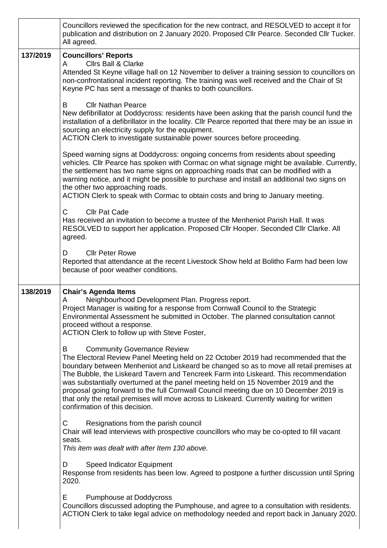|          | Councillors reviewed the specification for the new contract, and RESOLVED to accept it for<br>publication and distribution on 2 January 2020. Proposed Cllr Pearce. Seconded Cllr Tucker.<br>All agreed.                                                                                                                                                                                                                                                                                                                                                                                                                         |
|----------|----------------------------------------------------------------------------------------------------------------------------------------------------------------------------------------------------------------------------------------------------------------------------------------------------------------------------------------------------------------------------------------------------------------------------------------------------------------------------------------------------------------------------------------------------------------------------------------------------------------------------------|
| 137/2019 | <b>Councillors' Reports</b><br><b>Clirs Ball &amp; Clarke</b><br>A<br>Attended St Keyne village hall on 12 November to deliver a training session to councillors on<br>non-confrontational incident reporting. The training was well received and the Chair of St<br>Keyne PC has sent a message of thanks to both councillors.                                                                                                                                                                                                                                                                                                  |
|          | B<br><b>Cllr Nathan Pearce</b><br>New defibrillator at Doddycross: residents have been asking that the parish council fund the<br>installation of a defibrillator in the locality. Cllr Pearce reported that there may be an issue in<br>sourcing an electricity supply for the equipment.<br>ACTION Clerk to investigate sustainable power sources before proceeding.                                                                                                                                                                                                                                                           |
|          | Speed warning signs at Doddycross: ongoing concerns from residents about speeding<br>vehicles. Cllr Pearce has spoken with Cormac on what signage might be available. Currently,<br>the settlement has two name signs on approaching roads that can be modified with a<br>warning notice, and it might be possible to purchase and install an additional two signs on<br>the other two approaching roads.                                                                                                                                                                                                                        |
|          | ACTION Clerk to speak with Cormac to obtain costs and bring to January meeting.<br><b>Cllr Pat Cade</b><br>C<br>Has received an invitation to become a trustee of the Menheniot Parish Hall. It was<br>RESOLVED to support her application. Proposed Cllr Hooper. Seconded Cllr Clarke. All<br>agreed.                                                                                                                                                                                                                                                                                                                           |
|          | <b>Cllr Peter Rowe</b><br>D.<br>Reported that attendance at the recent Livestock Show held at Bolitho Farm had been low<br>because of poor weather conditions.                                                                                                                                                                                                                                                                                                                                                                                                                                                                   |
| 138/2019 | <b>Chair's Agenda Items</b><br>Neighbourhood Development Plan. Progress report.<br>Α<br>Project Manager is waiting for a response from Cornwall Council to the Strategic<br>Environmental Assessment he submitted in October. The planned consultation cannot<br>proceed without a response.<br>ACTION Clerk to follow up with Steve Foster,                                                                                                                                                                                                                                                                                     |
|          | B<br><b>Community Governance Review</b><br>The Electoral Review Panel Meeting held on 22 October 2019 had recommended that the<br>boundary between Menheniot and Liskeard be changed so as to move all retail premises at<br>The Bubble, the Liskeard Tavern and Tencreek Farm into Liskeard. This recommendation<br>was substantially overturned at the panel meeting held on 15 November 2019 and the<br>proposal going forward to the full Cornwall Council meeting due on 10 December 2019 is<br>that only the retail premises will move across to Liskeard. Currently waiting for written<br>confirmation of this decision. |
|          | Resignations from the parish council<br>С<br>Chair will lead interviews with prospective councillors who may be co-opted to fill vacant<br>seats.<br>This item was dealt with after Item 130 above.                                                                                                                                                                                                                                                                                                                                                                                                                              |
|          | Speed Indicator Equipment<br>D<br>Response from residents has been low. Agreed to postpone a further discussion until Spring<br>2020.                                                                                                                                                                                                                                                                                                                                                                                                                                                                                            |
|          | Pumphouse at Doddycross<br>Е<br>Councillors discussed adopting the Pumphouse, and agree to a consultation with residents.<br>ACTION Clerk to take legal advice on methodology needed and report back in January 2020.                                                                                                                                                                                                                                                                                                                                                                                                            |